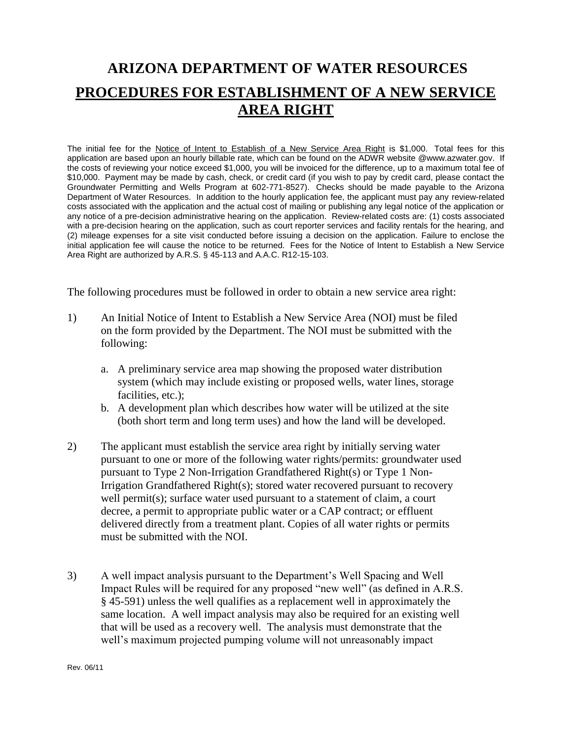## **ARIZONA DEPARTMENT OF WATER RESOURCES PROCEDURES FOR ESTABLISHMENT OF A NEW SERVICE AREA RIGHT**

The initial fee for the Notice of Intent to Establish of a New Service Area Right is \$1,000. Total fees for this application are based upon an hourly billable rate, which can be found on the ADWR website @www.azwater.gov. If the costs of reviewing your notice exceed \$1,000, you will be invoiced for the difference, up to a maximum total fee of \$10,000. Payment may be made by cash, check, or credit card (if you wish to pay by credit card, please contact the Groundwater Permitting and Wells Program at 602-771-8527). Checks should be made payable to the Arizona Department of Water Resources. In addition to the hourly application fee, the applicant must pay any review-related costs associated with the application and the actual cost of mailing or publishing any legal notice of the application or any notice of a pre-decision administrative hearing on the application. Review-related costs are: (1) costs associated with a pre-decision hearing on the application, such as court reporter services and facility rentals for the hearing, and (2) mileage expenses for a site visit conducted before issuing a decision on the application. Failure to enclose the initial application fee will cause the notice to be returned. Fees for the Notice of Intent to Establish a New Service Area Right are authorized by A.R.S. § 45-113 and A.A.C. R12-15-103.

The following procedures must be followed in order to obtain a new service area right:

- 1) An Initial Notice of Intent to Establish a New Service Area (NOI) must be filed on the form provided by the Department. The NOI must be submitted with the following:
	- a. A preliminary service area map showing the proposed water distribution system (which may include existing or proposed wells, water lines, storage facilities, etc.);
	- b. A development plan which describes how water will be utilized at the site (both short term and long term uses) and how the land will be developed.
- 2) The applicant must establish the service area right by initially serving water pursuant to one or more of the following water rights/permits: groundwater used pursuant to Type 2 Non-Irrigation Grandfathered Right(s) or Type 1 Non-Irrigation Grandfathered Right(s); stored water recovered pursuant to recovery well permit(s); surface water used pursuant to a statement of claim, a court decree, a permit to appropriate public water or a CAP contract; or effluent delivered directly from a treatment plant. Copies of all water rights or permits must be submitted with the NOI.
- 3) A well impact analysis pursuant to the Department's Well Spacing and Well Impact Rules will be required for any proposed "new well" (as defined in A.R.S. § 45-591) unless the well qualifies as a replacement well in approximately the same location. A well impact analysis may also be required for an existing well that will be used as a recovery well. The analysis must demonstrate that the well's maximum projected pumping volume will not unreasonably impact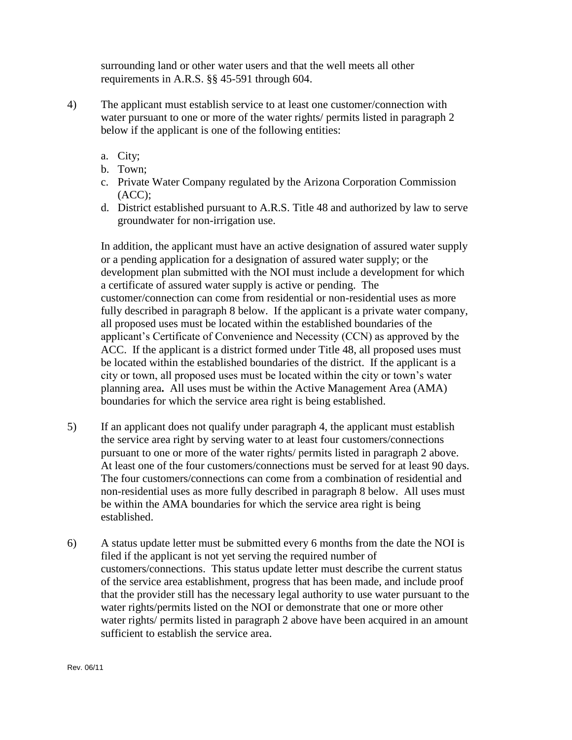surrounding land or other water users and that the well meets all other requirements in A.R.S. §§ 45-591 through 604.

- 4) The applicant must establish service to at least one customer/connection with water pursuant to one or more of the water rights/ permits listed in paragraph 2 below if the applicant is one of the following entities:
	- a. City;
	- b. Town;
	- c. Private Water Company regulated by the Arizona Corporation Commission  $(ACC):$
	- d. District established pursuant to A.R.S. Title 48 and authorized by law to serve groundwater for non-irrigation use.

In addition, the applicant must have an active designation of assured water supply or a pending application for a designation of assured water supply; or the development plan submitted with the NOI must include a development for which a certificate of assured water supply is active or pending. The customer/connection can come from residential or non-residential uses as more fully described in paragraph 8 below. If the applicant is a private water company, all proposed uses must be located within the established boundaries of the applicant's Certificate of Convenience and Necessity (CCN) as approved by the ACC. If the applicant is a district formed under Title 48, all proposed uses must be located within the established boundaries of the district. If the applicant is a city or town, all proposed uses must be located within the city or town's water planning area**.** All uses must be within the Active Management Area (AMA) boundaries for which the service area right is being established.

- 5) If an applicant does not qualify under paragraph 4, the applicant must establish the service area right by serving water to at least four customers/connections pursuant to one or more of the water rights/ permits listed in paragraph 2 above. At least one of the four customers/connections must be served for at least 90 days. The four customers/connections can come from a combination of residential and non-residential uses as more fully described in paragraph 8 below. All uses must be within the AMA boundaries for which the service area right is being established.
- 6) A status update letter must be submitted every 6 months from the date the NOI is filed if the applicant is not yet serving the required number of customers/connections. This status update letter must describe the current status of the service area establishment, progress that has been made, and include proof that the provider still has the necessary legal authority to use water pursuant to the water rights/permits listed on the NOI or demonstrate that one or more other water rights/ permits listed in paragraph 2 above have been acquired in an amount sufficient to establish the service area.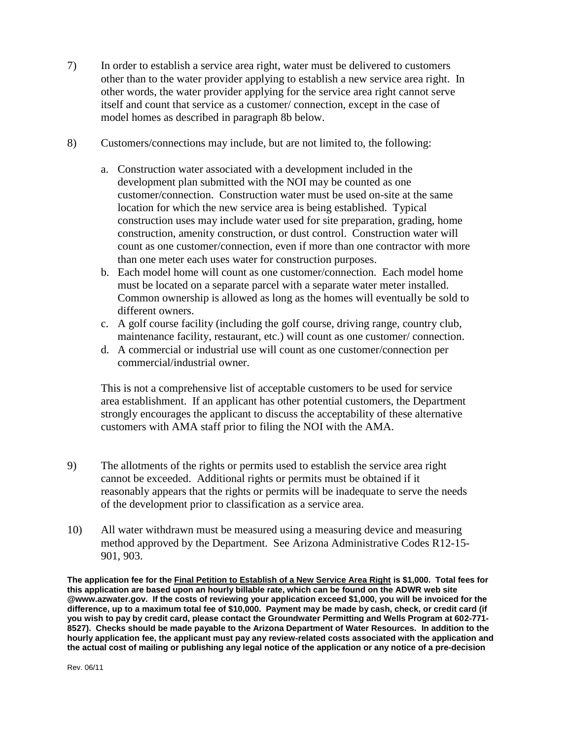- 7) In order to establish a service area right, water must be delivered to customers other than to the water provider applying to establish a new service area right. In other words, the water provider applying for the service area right cannot serve itself and count that service as a customer/ connection, except in the case of model homes as described in paragraph 8b below.
- 8) Customers/connections may include, but are not limited to, the following:
	- a. Construction water associated with a development included in the development plan submitted with the NOI may be counted as one customer/connection. Construction water must be used on-site at the same location for which the new service area is being established. Typical construction uses may include water used for site preparation, grading, home construction, amenity construction, or dust control. Construction water will count as one customer/connection, even if more than one contractor with more than one meter each uses water for construction purposes.
	- b. Each model home will count as one customer/connection. Each model home must be located on a separate parcel with a separate water meter installed. Common ownership is allowed as long as the homes will eventually be sold to different owners.
	- c. A golf course facility (including the golf course, driving range, country club, maintenance facility, restaurant, etc.) will count as one customer/ connection.
	- d. A commercial or industrial use will count as one customer/connection per commercial/industrial owner.

This is not a comprehensive list of acceptable customers to be used for service area establishment. If an applicant has other potential customers, the Department strongly encourages the applicant to discuss the acceptability of these alternative customers with AMA staff prior to filing the NOI with the AMA.

- 9) The allotments of the rights or permits used to establish the service area right cannot be exceeded. Additional rights or permits must be obtained if it reasonably appears that the rights or permits will be inadequate to serve the needs of the development prior to classification as a service area.
- 10) All water withdrawn must be measured using a measuring device and measuring method approved by the Department. See Arizona Administrative Codes R12-15- 901, 903.

**The application fee for the Final Petition to Establish of a New Service Area Right is \$1,000. Total fees for this application are based upon an hourly billable rate, which can be found on the ADWR web site @www.azwater.gov. If the costs of reviewing your application exceed \$1,000, you will be invoiced for the difference, up to a maximum total fee of \$10,000. Payment may be made by cash, check, or credit card (if you wish to pay by credit card, please contact the Groundwater Permitting and Wells Program at 602-771- 8527). Checks should be made payable to the Arizona Department of Water Resources. In addition to the hourly application fee, the applicant must pay any review-related costs associated with the application and the actual cost of mailing or publishing any legal notice of the application or any notice of a pre-decision**